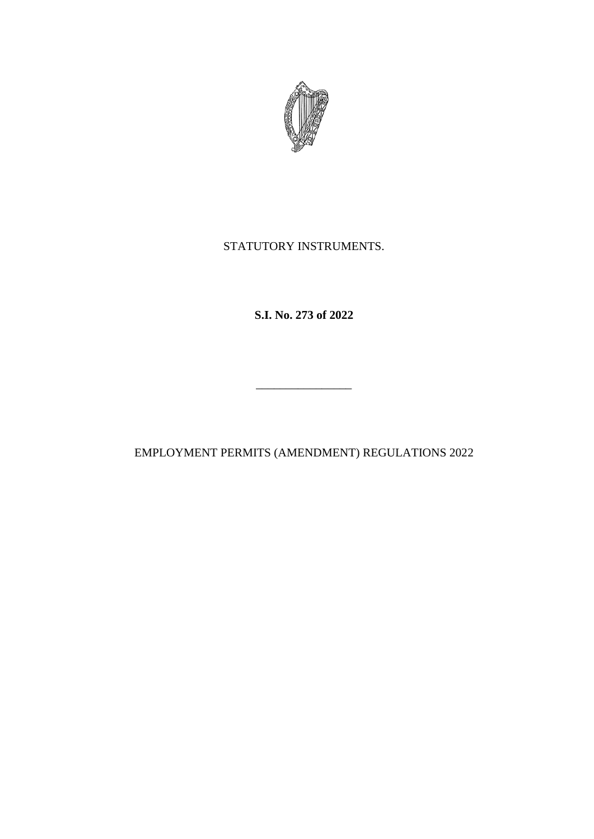

STATUTORY INSTRUMENTS.

**S.I. No. 273 of 2022**

EMPLOYMENT PERMITS (AMENDMENT) REGULATIONS 2022

\_\_\_\_\_\_\_\_\_\_\_\_\_\_\_\_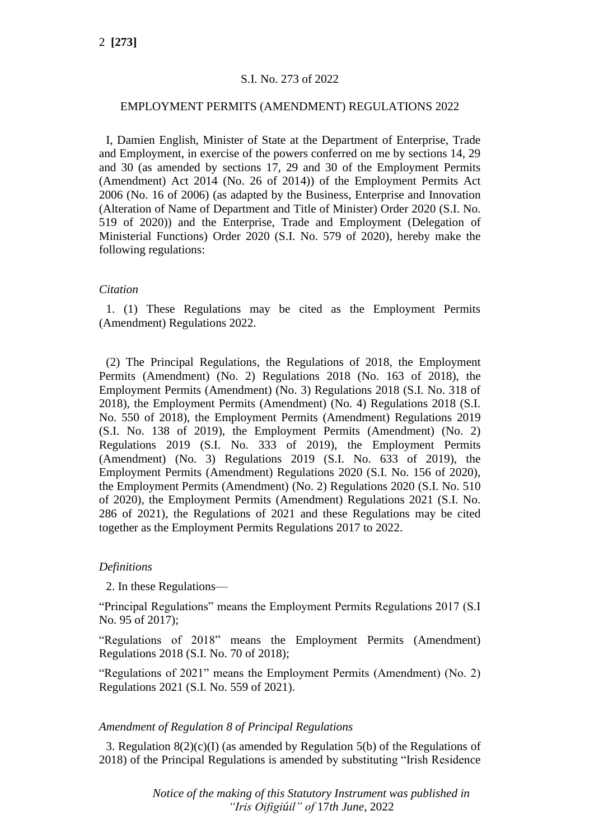# S.I. No. 273 of 2022

# EMPLOYMENT PERMITS (AMENDMENT) REGULATIONS 2022

I, Damien English, Minister of State at the Department of Enterprise, Trade and Employment, in exercise of the powers conferred on me by sections 14, 29 and 30 (as amended by sections 17, 29 and 30 of the Employment Permits (Amendment) Act 2014 (No. 26 of 2014)) of the Employment Permits Act 2006 (No. 16 of 2006) (as adapted by the Business, Enterprise and Innovation (Alteration of Name of Department and Title of Minister) Order 2020 (S.I. No. 519 of 2020)) and the Enterprise, Trade and Employment (Delegation of Ministerial Functions) Order 2020 (S.I. No. 579 of 2020), hereby make the following regulations:

#### *Citation*

1. (1) These Regulations may be cited as the Employment Permits (Amendment) Regulations 2022.

(2) The Principal Regulations, the Regulations of 2018, the Employment Permits (Amendment) (No. 2) Regulations 2018 (No. 163 of 2018), the Employment Permits (Amendment) (No. 3) Regulations 2018 (S.I. No. 318 of 2018), the Employment Permits (Amendment) (No. 4) Regulations 2018 (S.I. No. 550 of 2018), the Employment Permits (Amendment) Regulations 2019 (S.I. No. 138 of 2019), the Employment Permits (Amendment) (No. 2) Regulations 2019 (S.I. No. 333 of 2019), the Employment Permits (Amendment) (No. 3) Regulations 2019 (S.I. No. 633 of 2019), the Employment Permits (Amendment) Regulations 2020 (S.I. No. 156 of 2020), the Employment Permits (Amendment) (No. 2) Regulations 2020 (S.I. No. 510 of 2020), the Employment Permits (Amendment) Regulations 2021 (S.I. No. 286 of 2021), the Regulations of 2021 and these Regulations may be cited together as the Employment Permits Regulations 2017 to 2022.

# *Definitions*

2. In these Regulations—

"Principal Regulations" means the Employment Permits Regulations 2017 (S.I No. 95 of 2017);

"Regulations of 2018" means the Employment Permits (Amendment) Regulations 2018 (S.I. No. 70 of 2018);

"Regulations of 2021" means the Employment Permits (Amendment) (No. 2) Regulations 2021 (S.I. No. 559 of 2021).

# *Amendment of Regulation 8 of Principal Regulations*

3. Regulation  $8(2)(c)(I)$  (as amended by Regulation 5(b) of the Regulations of 2018) of the Principal Regulations is amended by substituting "Irish Residence

> *Notice of the making of this Statutory Instrument was published in "Iris Oifigiúil" of* 17*th June,* 2022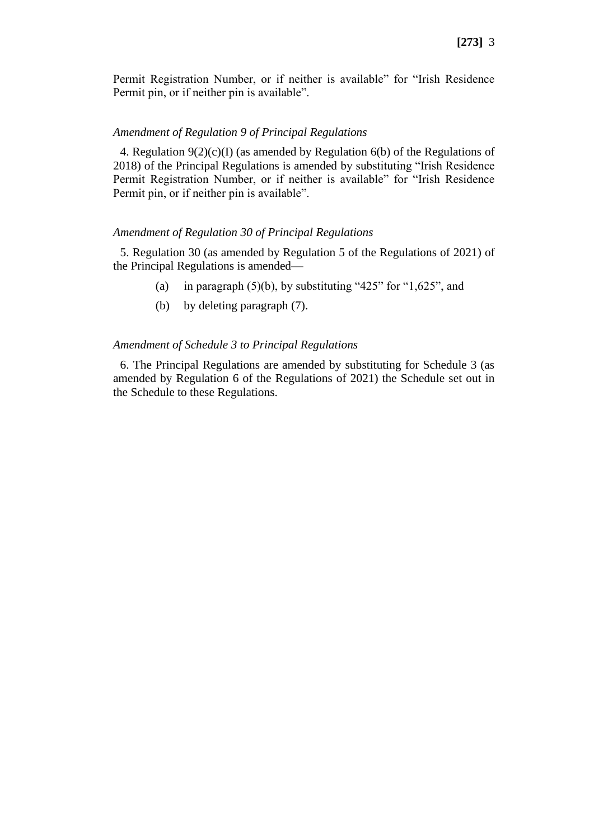Permit Registration Number, or if neither is available" for "Irish Residence Permit pin, or if neither pin is available".

#### *Amendment of Regulation 9 of Principal Regulations*

4. Regulation  $9(2)(c)(I)$  (as amended by Regulation 6(b) of the Regulations of 2018) of the Principal Regulations is amended by substituting "Irish Residence Permit Registration Number, or if neither is available" for "Irish Residence Permit pin, or if neither pin is available".

#### *Amendment of Regulation 30 of Principal Regulations*

5. Regulation 30 (as amended by Regulation 5 of the Regulations of 2021) of the Principal Regulations is amended—

- (a) in paragraph  $(5)(b)$ , by substituting "425" for "1,625", and
- (b) by deleting paragraph (7).

#### *Amendment of Schedule 3 to Principal Regulations*

6. The Principal Regulations are amended by substituting for Schedule 3 (as amended by Regulation 6 of the Regulations of 2021) the Schedule set out in the Schedule to these Regulations.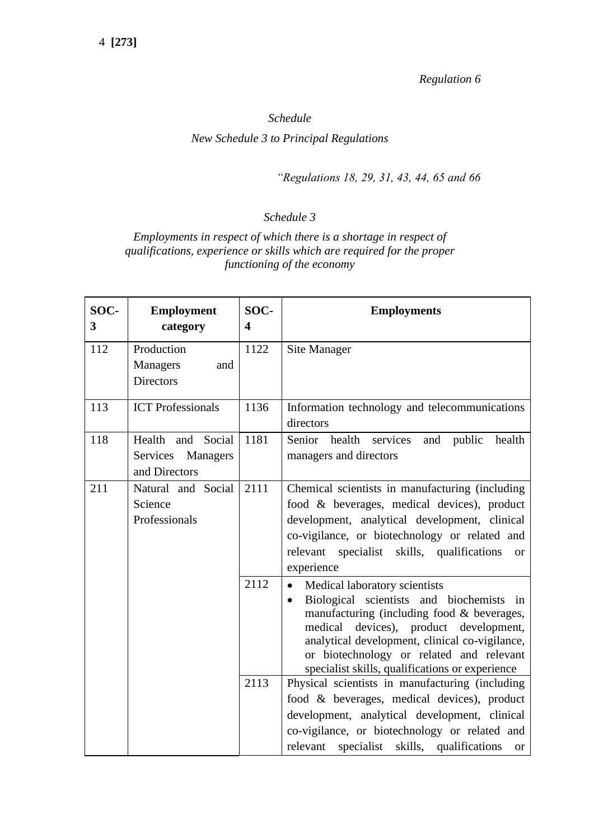*Regulation 6*

# *Schedule New Schedule 3 to Principal Regulations*

*"Regulations 18, 29, 31, 43, 44, 65 and 66*

# *Schedule 3*

*Employments in respect of which there is a shortage in respect of qualifications, experience or skills which are required for the proper functioning of the economy*

| SOC-<br>3 | <b>Employment</b><br>category                           | SOC-<br>$\overline{\mathbf{4}}$ | <b>Employments</b>                                                                                                                                                                                                                                                                                                                                |
|-----------|---------------------------------------------------------|---------------------------------|---------------------------------------------------------------------------------------------------------------------------------------------------------------------------------------------------------------------------------------------------------------------------------------------------------------------------------------------------|
| 112       | Production<br>Managers<br>and<br><b>Directors</b>       | 1122                            | <b>Site Manager</b>                                                                                                                                                                                                                                                                                                                               |
| 113       | <b>ICT</b> Professionals                                | 1136                            | Information technology and telecommunications<br>directors                                                                                                                                                                                                                                                                                        |
| 118       | Health and Social<br>Services Managers<br>and Directors | 1181                            | Senior health services<br>and public<br>health<br>managers and directors                                                                                                                                                                                                                                                                          |
| 211       | Natural and Social<br>Science<br>Professionals          | 2111                            | Chemical scientists in manufacturing (including)<br>food & beverages, medical devices), product<br>development, analytical development, clinical<br>co-vigilance, or biotechnology or related and<br>relevant specialist skills, qualifications<br><b>or</b><br>experience                                                                        |
|           |                                                         | 2112                            | Medical laboratory scientists<br>$\bullet$<br>Biological scientists and biochemists in<br>$\bullet$<br>manufacturing (including food $&$ beverages,<br>devices), product development,<br>medical<br>analytical development, clinical co-vigilance,<br>or biotechnology or related and relevant<br>specialist skills, qualifications or experience |
|           |                                                         | 2113                            | Physical scientists in manufacturing (including<br>food & beverages, medical devices), product<br>development, analytical development, clinical<br>co-vigilance, or biotechnology or related and<br>relevant<br>specialist skills, qualifications<br><b>or</b>                                                                                    |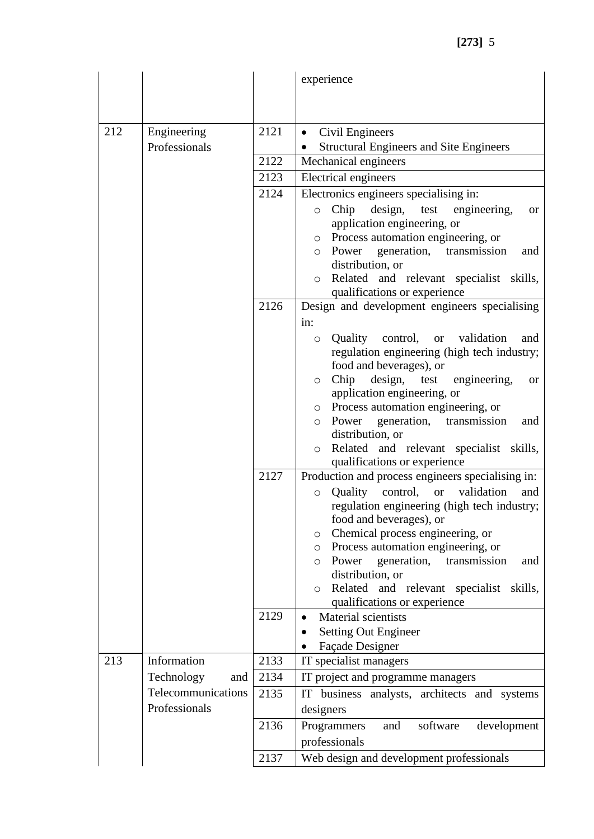|     |                    |      | experience                                                                                  |
|-----|--------------------|------|---------------------------------------------------------------------------------------------|
|     |                    |      |                                                                                             |
|     |                    |      |                                                                                             |
| 212 | Engineering        | 2121 | Civil Engineers<br>$\bullet$                                                                |
|     | Professionals      |      | <b>Structural Engineers and Site Engineers</b><br>٠                                         |
|     |                    | 2122 | Mechanical engineers                                                                        |
|     |                    | 2123 | Electrical engineers                                                                        |
|     |                    | 2124 | Electronics engineers specialising in:                                                      |
|     |                    |      | design,<br>test<br>engineering,<br>Chip<br>$\circ$<br><b>or</b>                             |
|     |                    |      | application engineering, or                                                                 |
|     |                    |      | o Process automation engineering, or<br>Power generation,<br>transmission<br>and<br>$\circ$ |
|     |                    |      | distribution, or                                                                            |
|     |                    |      | Related and relevant specialist skills,<br>$\circ$                                          |
|     |                    |      | qualifications or experience                                                                |
|     |                    | 2126 | Design and development engineers specialising                                               |
|     |                    |      | in:                                                                                         |
|     |                    |      | Quality control, or validation<br>and<br>$\circ$                                            |
|     |                    |      | regulation engineering (high tech industry;                                                 |
|     |                    |      | food and beverages), or<br>Chip<br>design, test engineering,<br><b>or</b><br>$\circ$        |
|     |                    |      | application engineering, or                                                                 |
|     |                    |      | o Process automation engineering, or                                                        |
|     |                    |      | Power generation, transmission<br>and<br>$\circ$                                            |
|     |                    |      | distribution, or                                                                            |
|     |                    |      | Related and relevant specialist skills,<br>$\circ$                                          |
|     |                    | 2127 | qualifications or experience<br>Production and process engineers specialising in:           |
|     |                    |      | Quality control,<br>validation<br><b>or</b><br>and<br>$\circ$                               |
|     |                    |      | regulation engineering (high tech industry;                                                 |
|     |                    |      | food and beverages), or                                                                     |
|     |                    |      | Chemical process engineering, or<br>O                                                       |
|     |                    |      | o Process automation engineering, or                                                        |
|     |                    |      | Power generation,<br>transmission<br>and<br>$\circ$<br>distribution, or                     |
|     |                    |      | Related and relevant specialist<br>skills,<br>$\circ$                                       |
|     |                    |      | qualifications or experience                                                                |
|     |                    | 2129 | Material scientists<br>$\bullet$                                                            |
|     |                    |      | <b>Setting Out Engineer</b>                                                                 |
|     |                    |      | Façade Designer                                                                             |
| 213 | Information        | 2133 | IT specialist managers                                                                      |
|     | Technology<br>and  | 2134 | IT project and programme managers                                                           |
|     | Telecommunications | 2135 | IT business analysts, architects and systems                                                |
|     | Professionals      |      | designers                                                                                   |
|     |                    | 2136 | Programmers<br>software<br>development<br>and                                               |
|     |                    |      | professionals                                                                               |
|     |                    | 2137 | Web design and development professionals                                                    |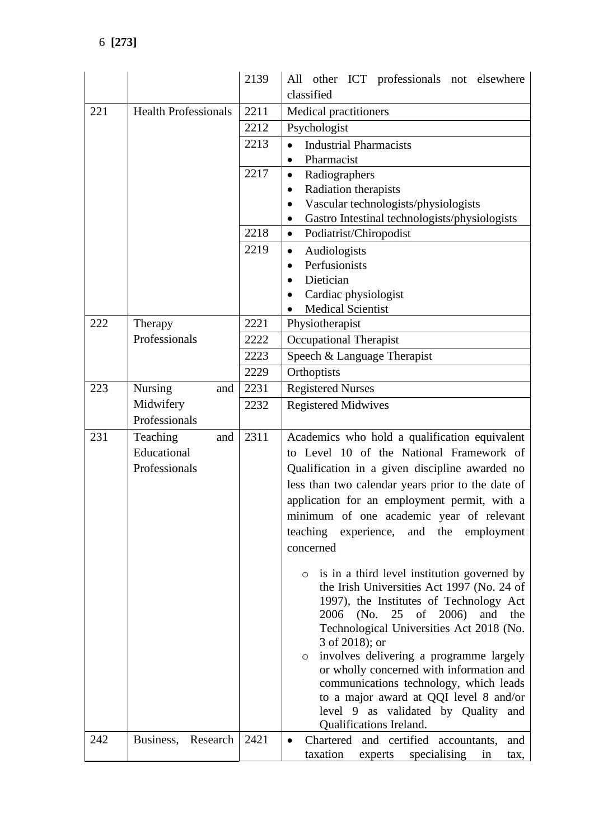|     |                             | 2139 | All other ICT professionals not elsewhere                  |
|-----|-----------------------------|------|------------------------------------------------------------|
|     |                             |      | classified                                                 |
| 221 | <b>Health Professionals</b> | 2211 | Medical practitioners                                      |
|     |                             | 2212 | Psychologist                                               |
|     |                             | 2213 | <b>Industrial Pharmacists</b><br>$\bullet$                 |
|     |                             |      | Pharmacist<br>$\bullet$                                    |
|     |                             | 2217 | Radiographers<br>$\bullet$                                 |
|     |                             |      | Radiation therapists<br>$\bullet$                          |
|     |                             |      | Vascular technologists/physiologists<br>$\bullet$          |
|     |                             |      | Gastro Intestinal technologists/physiologists<br>$\bullet$ |
|     |                             | 2218 | Podiatrist/Chiropodist<br>$\bullet$                        |
|     |                             | 2219 | Audiologists<br>$\bullet$                                  |
|     |                             |      | Perfusionists<br>$\bullet$                                 |
|     |                             |      | Dietician                                                  |
|     |                             |      | Cardiac physiologist<br>$\bullet$                          |
|     |                             |      | <b>Medical Scientist</b>                                   |
| 222 | Therapy                     | 2221 | Physiotherapist                                            |
|     | Professionals               | 2222 | <b>Occupational Therapist</b>                              |
|     |                             | 2223 | Speech & Language Therapist                                |
|     |                             | 2229 | Orthoptists                                                |
| 223 | Nursing<br>and              | 2231 | <b>Registered Nurses</b>                                   |
|     | Midwifery                   | 2232 | <b>Registered Midwives</b>                                 |
|     | Professionals               |      |                                                            |
| 231 | Teaching<br>and             | 2311 | Academics who hold a qualification equivalent              |
|     | Educational                 |      | to Level 10 of the National Framework of                   |
|     | Professionals               |      | Qualification in a given discipline awarded no             |
|     |                             |      | less than two calendar years prior to the date of          |
|     |                             |      | application for an employment permit, with a               |
|     |                             |      | minimum of one academic year of relevant                   |
|     |                             |      | teaching experience, and the<br>employment                 |
|     |                             |      | concerned                                                  |
|     |                             |      |                                                            |
|     |                             |      | is in a third level institution governed by<br>$\circ$     |
|     |                             |      | the Irish Universities Act 1997 (No. 24 of                 |
|     |                             |      | 1997), the Institutes of Technology Act                    |
|     |                             |      | 2006<br>(No. 25 of 2006)<br>and<br>the                     |
|     |                             |      | Technological Universities Act 2018 (No.<br>3 of 2018); or |
|     |                             |      | involves delivering a programme largely<br>$\circ$         |
|     |                             |      | or wholly concerned with information and                   |
|     |                             |      | communications technology, which leads                     |
|     |                             |      | to a major award at QQI level 8 and/or                     |
|     |                             |      | level 9 as validated by Quality and                        |
|     |                             |      | Qualifications Ireland.                                    |
| 242 | Business, Research          | 2421 | Chartered and certified accountants,<br>and<br>$\bullet$   |
|     |                             |      | taxation<br>specialising<br>experts<br>in<br>tax,          |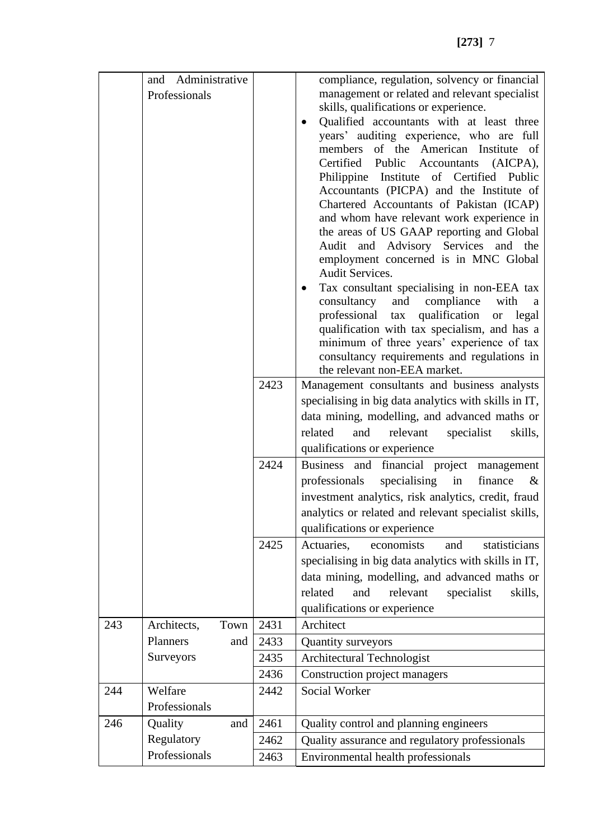|     | and Administrative<br>Professionals |      |      | compliance, regulation, solvency or financial<br>management or related and relevant specialist<br>skills, qualifications or experience.<br>Qualified accountants with at least three<br>$\bullet$<br>years' auditing experience, who are full<br>members of the American Institute of<br>Certified Public Accountants (AICPA),<br>Philippine Institute of Certified Public |
|-----|-------------------------------------|------|------|----------------------------------------------------------------------------------------------------------------------------------------------------------------------------------------------------------------------------------------------------------------------------------------------------------------------------------------------------------------------------|
|     |                                     |      |      | Accountants (PICPA) and the Institute of<br>Chartered Accountants of Pakistan (ICAP)<br>and whom have relevant work experience in<br>the areas of US GAAP reporting and Global<br>Audit and Advisory Services and the<br>employment concerned is in MNC Global<br><b>Audit Services.</b>                                                                                   |
|     |                                     |      |      | Tax consultant specialising in non-EEA tax<br>consultancy<br>and<br>compliance<br>with<br>a<br>professional tax qualification<br><sub>or</sub><br>legal<br>qualification with tax specialism, and has a<br>minimum of three years' experience of tax<br>consultancy requirements and regulations in<br>the relevant non-EEA market.                                        |
|     |                                     |      | 2423 | Management consultants and business analysts                                                                                                                                                                                                                                                                                                                               |
|     |                                     |      |      | specialising in big data analytics with skills in IT,                                                                                                                                                                                                                                                                                                                      |
|     |                                     |      |      | data mining, modelling, and advanced maths or                                                                                                                                                                                                                                                                                                                              |
|     |                                     |      |      | related<br>and<br>relevant<br>specialist<br>skills,                                                                                                                                                                                                                                                                                                                        |
|     |                                     |      |      | qualifications or experience                                                                                                                                                                                                                                                                                                                                               |
|     |                                     |      | 2424 | Business and financial project management                                                                                                                                                                                                                                                                                                                                  |
|     |                                     |      |      | professionals<br>specialising<br>in<br>finance<br>$\&$                                                                                                                                                                                                                                                                                                                     |
|     |                                     |      |      | investment analytics, risk analytics, credit, fraud                                                                                                                                                                                                                                                                                                                        |
|     |                                     |      |      | analytics or related and relevant specialist skills,                                                                                                                                                                                                                                                                                                                       |
|     |                                     |      |      | qualifications or experience                                                                                                                                                                                                                                                                                                                                               |
|     |                                     |      | 2425 | economists<br>Actuaries,<br>statisticians<br>and                                                                                                                                                                                                                                                                                                                           |
|     |                                     |      |      | specialising in big data analytics with skills in IT,                                                                                                                                                                                                                                                                                                                      |
|     |                                     |      |      | data mining, modelling, and advanced maths or                                                                                                                                                                                                                                                                                                                              |
|     |                                     |      |      | related<br>and<br>relevant<br>specialist<br>skills,                                                                                                                                                                                                                                                                                                                        |
|     |                                     |      |      | qualifications or experience                                                                                                                                                                                                                                                                                                                                               |
| 243 | Architects,                         | Town | 2431 | Architect                                                                                                                                                                                                                                                                                                                                                                  |
|     | <b>Planners</b>                     | and  | 2433 | Quantity surveyors                                                                                                                                                                                                                                                                                                                                                         |
|     | Surveyors                           |      | 2435 | Architectural Technologist                                                                                                                                                                                                                                                                                                                                                 |
|     |                                     |      | 2436 | Construction project managers                                                                                                                                                                                                                                                                                                                                              |
| 244 | Welfare                             |      | 2442 | <b>Social Worker</b>                                                                                                                                                                                                                                                                                                                                                       |
|     | Professionals                       |      |      |                                                                                                                                                                                                                                                                                                                                                                            |
| 246 | Quality                             | and  | 2461 | Quality control and planning engineers                                                                                                                                                                                                                                                                                                                                     |
|     | Regulatory                          |      | 2462 | Quality assurance and regulatory professionals                                                                                                                                                                                                                                                                                                                             |
|     | Professionals                       |      | 2463 | Environmental health professionals                                                                                                                                                                                                                                                                                                                                         |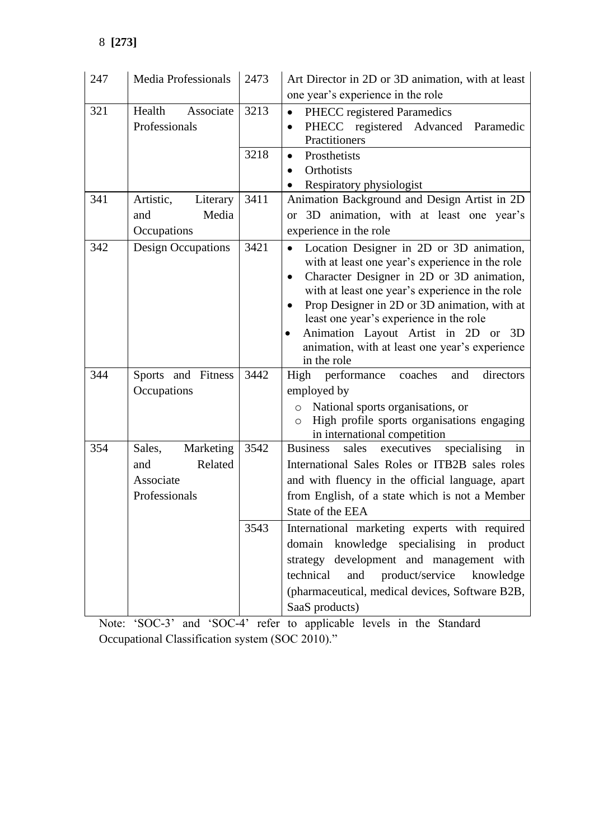| 247 | <b>Media Professionals</b> | 2473 | Art Director in 2D or 3D animation, with at least                                                        |
|-----|----------------------------|------|----------------------------------------------------------------------------------------------------------|
|     |                            |      | one year's experience in the role                                                                        |
| 321 | Health<br>Associate        | 3213 | <b>PHECC</b> registered Paramedics<br>$\bullet$                                                          |
|     | Professionals              |      | PHECC registered Advanced Paramedic<br>$\bullet$                                                         |
|     |                            |      | Practitioners                                                                                            |
|     |                            | 3218 | Prosthetists<br>$\bullet$                                                                                |
|     |                            |      | Orthotists<br>$\bullet$                                                                                  |
| 341 | Literary<br>Artistic,      | 3411 | Respiratory physiologist<br>Animation Background and Design Artist in 2D                                 |
|     | Media<br>and               |      | or 3D animation, with at least one year's                                                                |
|     | Occupations                |      | experience in the role                                                                                   |
| 342 | <b>Design Occupations</b>  | 3421 |                                                                                                          |
|     |                            |      | Location Designer in 2D or 3D animation,<br>$\bullet$<br>with at least one year's experience in the role |
|     |                            |      | Character Designer in 2D or 3D animation,<br>$\bullet$                                                   |
|     |                            |      | with at least one year's experience in the role                                                          |
|     |                            |      | Prop Designer in 2D or 3D animation, with at<br>$\bullet$                                                |
|     |                            |      | least one year's experience in the role                                                                  |
|     |                            |      | Animation Layout Artist in 2D or 3D<br>$\bullet$                                                         |
|     |                            |      | animation, with at least one year's experience                                                           |
|     |                            |      | in the role                                                                                              |
| 344 | Sports and Fitness         | 3442 | High performance coaches<br>directors<br>and                                                             |
|     | Occupations                |      | employed by                                                                                              |
|     |                            |      | National sports organisations, or<br>$\circ$<br>High profile sports organisations engaging<br>$\circ$    |
|     |                            |      | in international competition                                                                             |
| 354 | Marketing<br>Sales,        | 3542 | <b>Business</b><br>sales executives<br>specialising<br>in                                                |
|     | Related<br>and             |      | International Sales Roles or ITB2B sales roles                                                           |
|     | Associate                  |      | and with fluency in the official language, apart                                                         |
|     | Professionals              |      | from English, of a state which is not a Member                                                           |
|     |                            |      | State of the EEA                                                                                         |
|     |                            | 3543 | International marketing experts with required                                                            |
|     |                            |      | knowledge specialising in product<br>domain                                                              |
|     |                            |      | strategy development and management with                                                                 |
|     |                            |      | product/service<br>technical<br>and<br>knowledge                                                         |
|     |                            |      | (pharmaceutical, medical devices, Software B2B,                                                          |
|     |                            |      | SaaS products)                                                                                           |

Note: 'SOC-3' and 'SOC-4' refer to applicable levels in the Standard Occupational Classification system (SOC 2010)."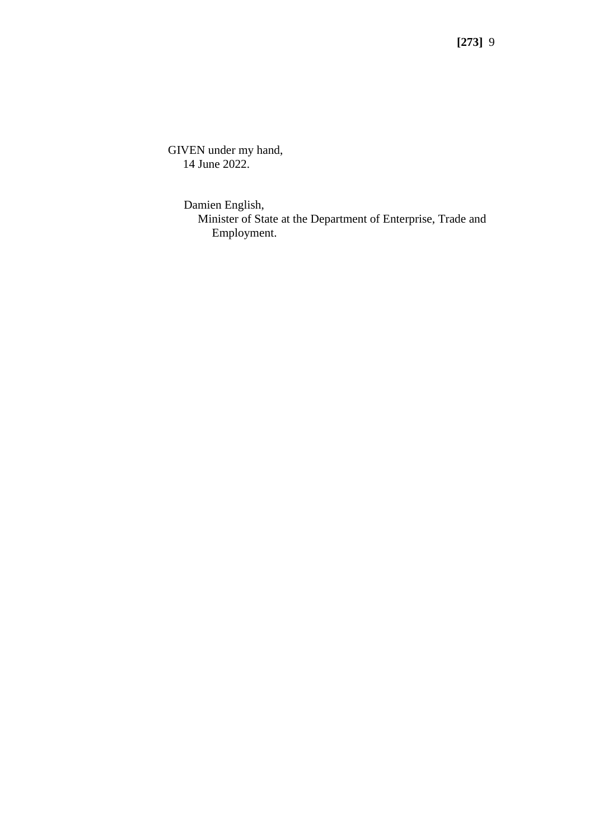GIVEN under my hand, 14 June 2022.

> Damien English, Minister of State at the Department of Enterprise, Trade and Employment.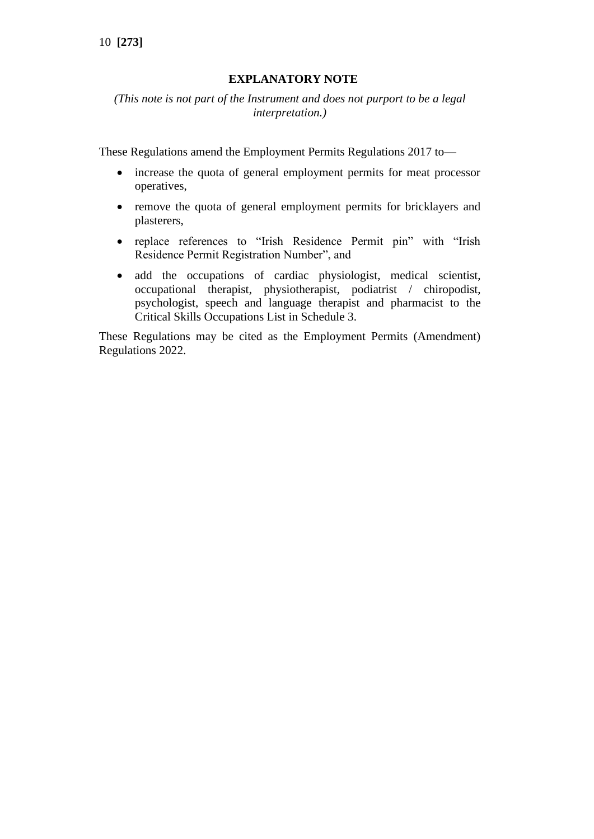# **EXPLANATORY NOTE**

*(This note is not part of the Instrument and does not purport to be a legal interpretation.)*

These Regulations amend the Employment Permits Regulations 2017 to—

- increase the quota of general employment permits for meat processor operatives,
- remove the quota of general employment permits for bricklayers and plasterers,
- replace references to "Irish Residence Permit pin" with "Irish Residence Permit Registration Number", and
- add the occupations of cardiac physiologist, medical scientist, occupational therapist, physiotherapist, podiatrist / chiropodist, psychologist, speech and language therapist and pharmacist to the Critical Skills Occupations List in Schedule 3.

These Regulations may be cited as the Employment Permits (Amendment) Regulations 2022.